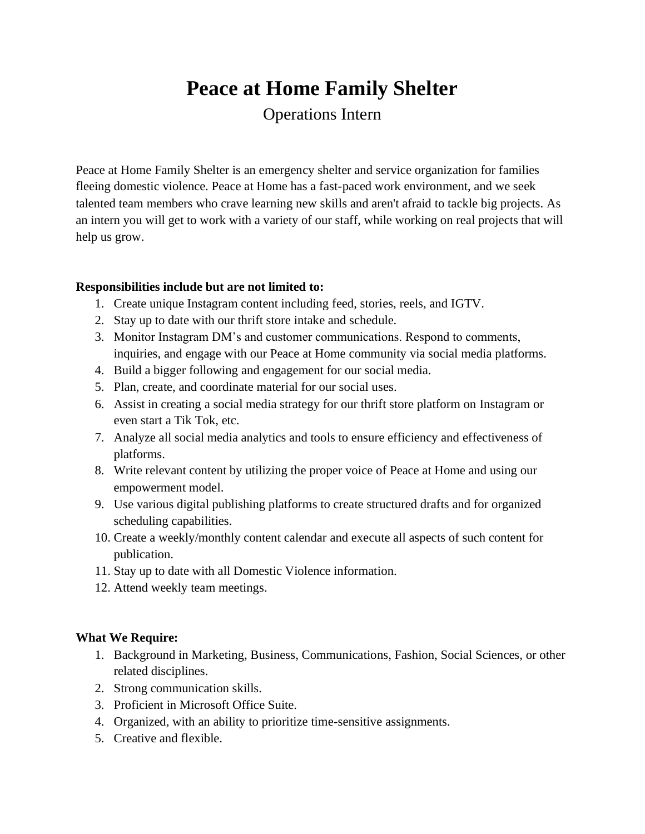# **Peace at Home Family Shelter**

Operations Intern

Peace at Home Family Shelter is an emergency shelter and service organization for families fleeing domestic violence. Peace at Home has a fast-paced work environment, and we seek talented team members who crave learning new skills and aren't afraid to tackle big projects. As an intern you will get to work with a variety of our staff, while working on real projects that will help us grow.

### **Responsibilities include but are not limited to:**

- 1. Create unique Instagram content including feed, stories, reels, and IGTV.
- 2. Stay up to date with our thrift store intake and schedule.
- 3. Monitor Instagram DM's and customer communications. Respond to comments, inquiries, and engage with our Peace at Home community via social media platforms.
- 4. Build a bigger following and engagement for our social media.
- 5. Plan, create, and coordinate material for our social uses.
- 6. Assist in creating a social media strategy for our thrift store platform on Instagram or even start a Tik Tok, etc.
- 7. Analyze all social media analytics and tools to ensure efficiency and effectiveness of platforms.
- 8. Write relevant content by utilizing the proper voice of Peace at Home and using our empowerment model.
- 9. Use various digital publishing platforms to create structured drafts and for organized scheduling capabilities.
- 10. Create a weekly/monthly content calendar and execute all aspects of such content for publication.
- 11. Stay up to date with all Domestic Violence information.
- 12. Attend weekly team meetings.

## **What We Require:**

- 1. Background in Marketing, Business, Communications, Fashion, Social Sciences, or other related disciplines.
- 2. Strong communication skills.
- 3. Proficient in Microsoft Office Suite.
- 4. Organized, with an ability to prioritize time-sensitive assignments.
- 5. Creative and flexible.